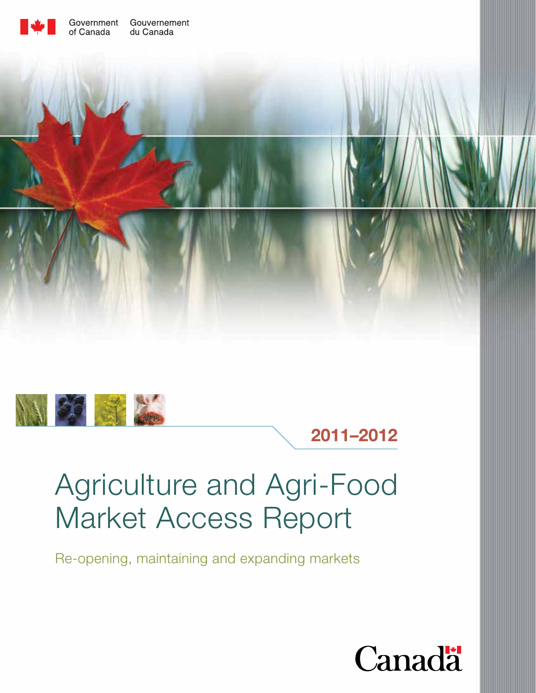

Government Gouvernement of Canada du Canada



# 2011–2012

# Agriculture and Agri-Food Market Access Report

Re-opening, maintaining and expanding markets

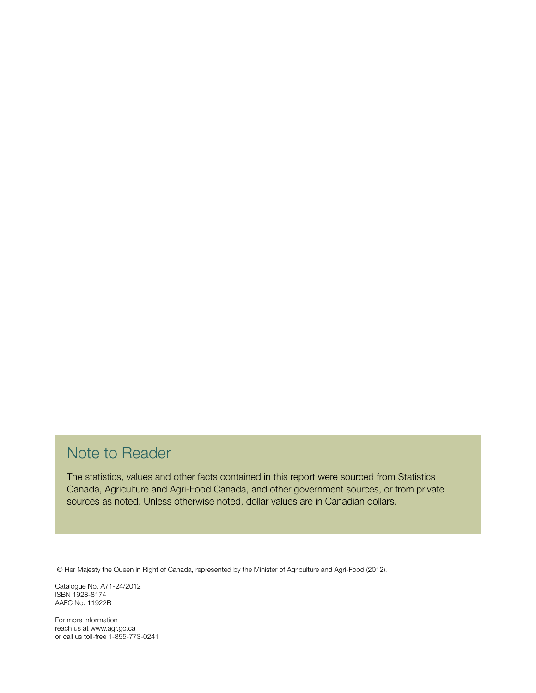# Note to Reader

The statistics, values and other facts contained in this report were sourced from Statistics Canada, Agriculture and Agri-Food Canada, and other government sources, or from private sources as noted. Unless otherwise noted, dollar values are in Canadian dollars.

© Her Majesty the Queen in Right of Canada, represented by the Minister of Agriculture and Agri-Food (2012).

Catalogue No. A71-24/2012 ISBN 1928-8174 AAFC No. 11922B

For more information reach us at www.agr.gc.ca or call us toll-free 1-855-773-0241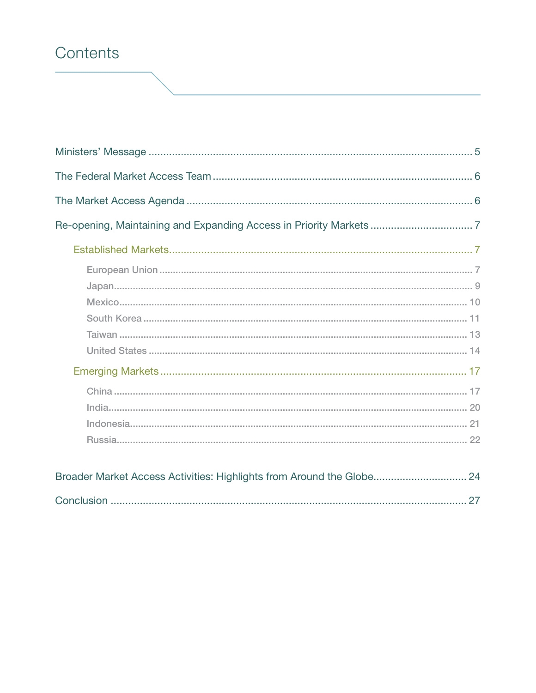# Contents

| Broader Market Access Activities: Highlights from Around the Globe 24 |
|-----------------------------------------------------------------------|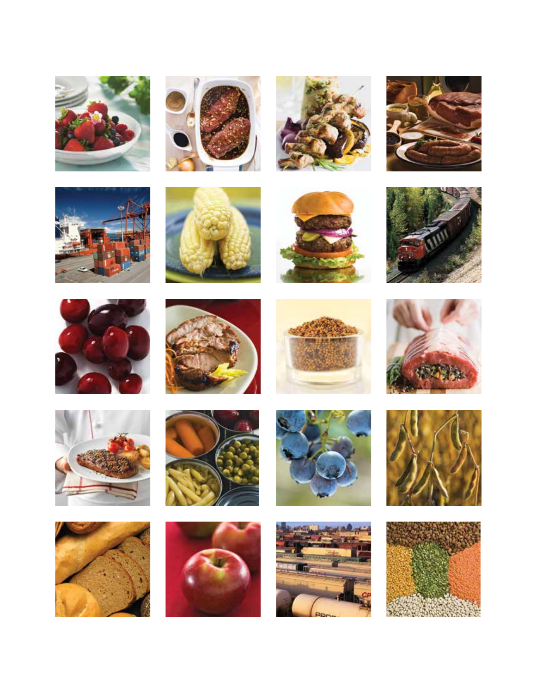



































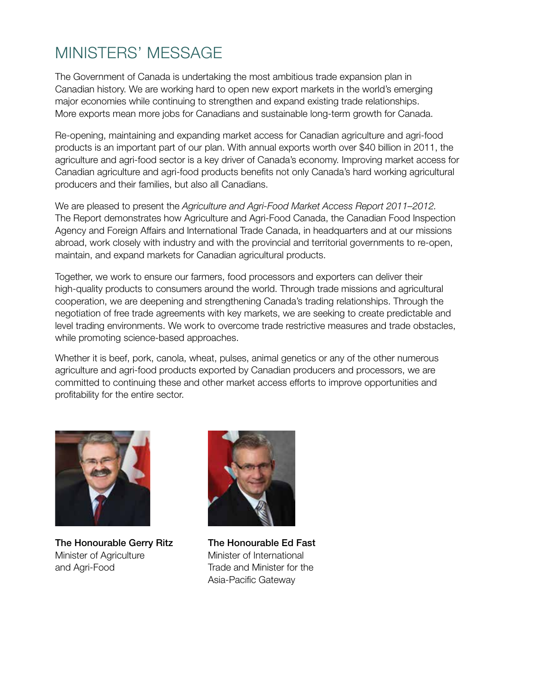# MINISTERS' MESSAGE

The Government of Canada is undertaking the most ambitious trade expansion plan in Canadian history. We are working hard to open new export markets in the world's emerging major economies while continuing to strengthen and expand existing trade relationships. More exports mean more jobs for Canadians and sustainable long-term growth for Canada.

Re-opening, maintaining and expanding market access for Canadian agriculture and agri-food products is an important part of our plan. With annual exports worth over \$40 billion in 2011, the agriculture and agri-food sector is a key driver of Canada's economy. Improving market access for Canadian agriculture and agri-food products benefits not only Canada's hard working agricultural producers and their families, but also all Canadians.

We are pleased to present the *Agriculture and Agri-Food Market Access Report 2011–2012.* The Report demonstrates how Agriculture and Agri-Food Canada, the Canadian Food Inspection Agency and Foreign Affairs and International Trade Canada, in headquarters and at our missions abroad, work closely with industry and with the provincial and territorial governments to re-open, maintain, and expand markets for Canadian agricultural products.

Together, we work to ensure our farmers, food processors and exporters can deliver their high-quality products to consumers around the world. Through trade missions and agricultural cooperation, we are deepening and strengthening Canada's trading relationships. Through the negotiation of free trade agreements with key markets, we are seeking to create predictable and level trading environments. We work to overcome trade restrictive measures and trade obstacles, while promoting science-based approaches.

Whether it is beef, pork, canola, wheat, pulses, animal genetics or any of the other numerous agriculture and agri-food products exported by Canadian producers and processors, we are committed to continuing these and other market access efforts to improve opportunities and profitability for the entire sector.



The Honourable Gerry Ritz Minister of Agriculture and Agri-Food



The Honourable Ed Fast Minister of International Trade and Minister for the Asia-Pacific Gateway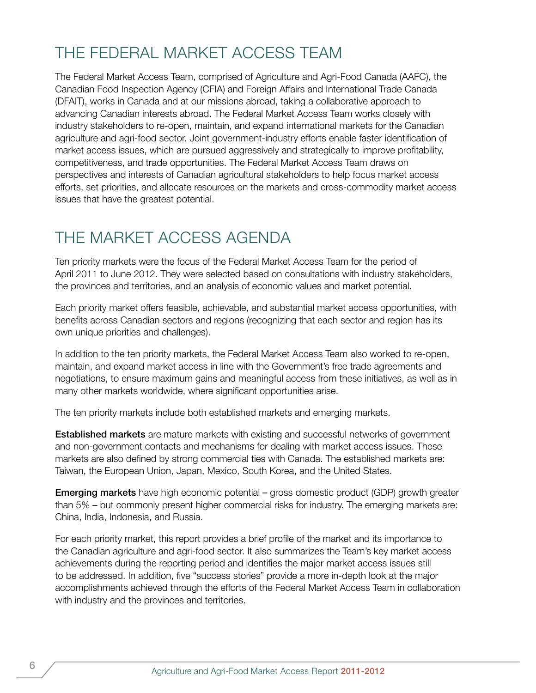# THE FEDERAL MARKET ACCESS TEAM

The Federal Market Access Team, comprised of Agriculture and Agri-Food Canada (AAFC), the Canadian Food Inspection Agency (CFIA) and Foreign Affairs and International Trade Canada (DFAIT), works in Canada and at our missions abroad, taking a collaborative approach to advancing Canadian interests abroad. The Federal Market Access Team works closely with industry stakeholders to re-open, maintain, and expand international markets for the Canadian agriculture and agri-food sector. Joint government-industry efforts enable faster identification of market access issues, which are pursued aggressively and strategically to improve profitability, competitiveness, and trade opportunities. The Federal Market Access Team draws on perspectives and interests of Canadian agricultural stakeholders to help focus market access efforts, set priorities, and allocate resources on the markets and cross-commodity market access issues that have the greatest potential.

# THE MARKET ACCESS AGENDA

Ten priority markets were the focus of the Federal Market Access Team for the period of April 2011 to June 2012. They were selected based on consultations with industry stakeholders, the provinces and territories, and an analysis of economic values and market potential.

Each priority market offers feasible, achievable, and substantial market access opportunities, with benefits across Canadian sectors and regions (recognizing that each sector and region has its own unique priorities and challenges).

In addition to the ten priority markets, the Federal Market Access Team also worked to re-open, maintain, and expand market access in line with the Government's free trade agreements and negotiations, to ensure maximum gains and meaningful access from these initiatives, as well as in many other markets worldwide, where significant opportunities arise.

The ten priority markets include both established markets and emerging markets.

**Established markets** are mature markets with existing and successful networks of government and non-government contacts and mechanisms for dealing with market access issues. These markets are also defined by strong commercial ties with Canada. The established markets are: Taiwan, the European Union, Japan, Mexico, South Korea, and the United States.

**Emerging markets** have high economic potential – gross domestic product (GDP) growth greater than 5% – but commonly present higher commercial risks for industry. The emerging markets are: China, India, Indonesia, and Russia.

For each priority market, this report provides a brief profile of the market and its importance to the Canadian agriculture and agri-food sector. It also summarizes the Team's key market access achievements during the reporting period and identifies the major market access issues still to be addressed. In addition, five "success stories" provide a more in-depth look at the major accomplishments achieved through the efforts of the Federal Market Access Team in collaboration with industry and the provinces and territories.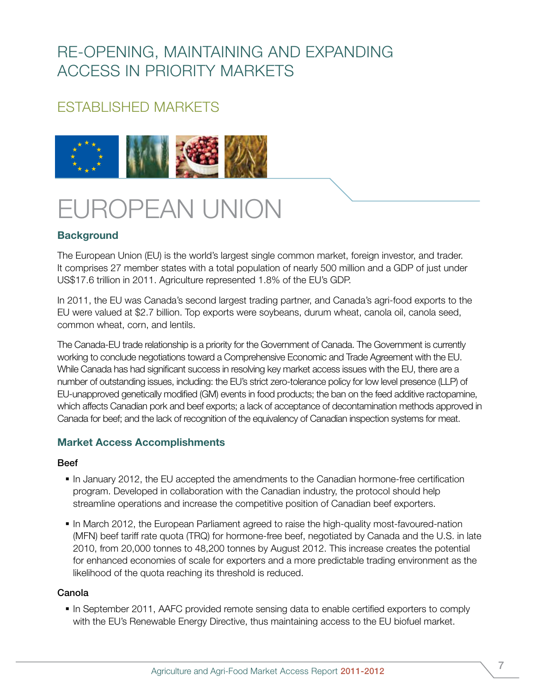# RE-OPENING, MAINTAINING AND EXPANDING ACCESS IN PRIORITY MARKETS

# ESTABLISHED MARKETS



# EUROPEAN UNION

# **Background**

The European Union (EU) is the world's largest single common market, foreign investor, and trader. It comprises 27 member states with a total population of nearly 500 million and a GDP of just under US\$17.6 trillion in 2011. Agriculture represented 1.8% of the EU's GDP.

In 2011, the EU was Canada's second largest trading partner, and Canada's agri-food exports to the EU were valued at \$2.7 billion. Top exports were soybeans, durum wheat, canola oil, canola seed, common wheat, corn, and lentils.

The Canada-EU trade relationship is a priority for the Government of Canada. The Government is currently working to conclude negotiations toward a Comprehensive Economic and Trade Agreement with the EU. While Canada has had significant success in resolving key market access issues with the EU, there are a number of outstanding issues, including: the EU's strict zero-tolerance policy for low level presence (LLP) of EU-unapproved genetically modified (GM) events in food products; the ban on the feed additive ractopamine, which affects Canadian pork and beef exports; a lack of acceptance of decontamination methods approved in Canada for beef; and the lack of recognition of the equivalency of Canadian inspection systems for meat.

# Market Access Accomplishments

### Beef

- In January 2012, the EU accepted the amendments to the Canadian hormone-free certification program. Developed in collaboration with the Canadian industry, the protocol should help streamline operations and increase the competitive position of Canadian beef exporters.
- In March 2012, the European Parliament agreed to raise the high-quality most-favoured-nation (MFN) beef tariff rate quota (TRQ) for hormone-free beef, negotiated by Canada and the U.S. in late 2010, from 20,000 tonnes to 48,200 tonnes by August 2012. This increase creates the potential for enhanced economies of scale for exporters and a more predictable trading environment as the likelihood of the quota reaching its threshold is reduced.

# **Canola**

 In September 2011, AAFC provided remote sensing data to enable certified exporters to comply with the EU's Renewable Energy Directive, thus maintaining access to the EU biofuel market.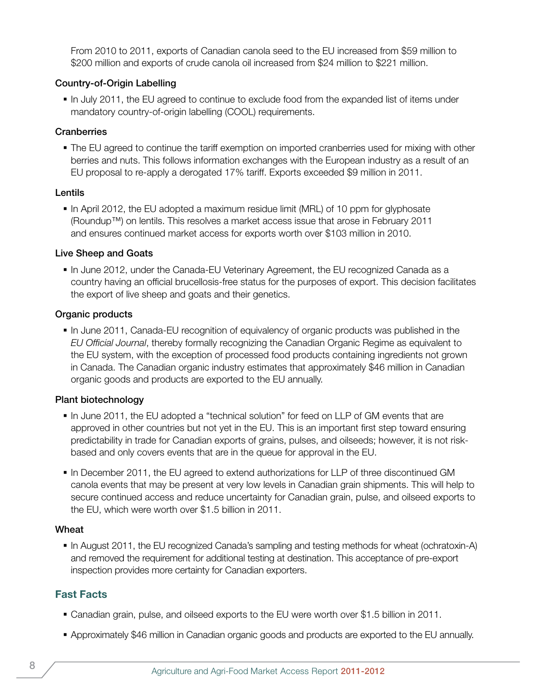From 2010 to 2011, exports of Canadian canola seed to the EU increased from \$59 million to \$200 million and exports of crude canola oil increased from \$24 million to \$221 million.

## Country-of-Origin Labelling

In July 2011, the EU agreed to continue to exclude food from the expanded list of items under mandatory country-of-origin labelling (COOL) requirements.

## **Cranberries**

 The EU agreed to continue the tariff exemption on imported cranberries used for mixing with other berries and nuts. This follows information exchanges with the European industry as a result of an EU proposal to re-apply a derogated 17% tariff. Exports exceeded \$9 million in 2011.

### Lentils

In April 2012, the EU adopted a maximum residue limit (MRL) of 10 ppm for glyphosate (Roundup™) on lentils. This resolves a market access issue that arose in February 2011 and ensures continued market access for exports worth over \$103 million in 2010.

## Live Sheep and Goats

 In June 2012, under the Canada-EU Veterinary Agreement, the EU recognized Canada as a country having an official brucellosis-free status for the purposes of export. This decision facilitates the export of live sheep and goats and their genetics.

### Organic products

In June 2011, Canada-EU recognition of equivalency of organic products was published in the *EU Official Journal*, thereby formally recognizing the Canadian Organic Regime as equivalent to the EU system, with the exception of processed food products containing ingredients not grown in Canada. The Canadian organic industry estimates that approximately \$46 million in Canadian organic goods and products are exported to the EU annually.

### Plant biotechnology

- In June 2011, the EU adopted a "technical solution" for feed on LLP of GM events that are approved in other countries but not yet in the EU. This is an important first step toward ensuring predictability in trade for Canadian exports of grains, pulses, and oilseeds; however, it is not riskbased and only covers events that are in the queue for approval in the EU.
- In December 2011, the EU agreed to extend authorizations for LLP of three discontinued GM canola events that may be present at very low levels in Canadian grain shipments. This will help to secure continued access and reduce uncertainty for Canadian grain, pulse, and oilseed exports to the EU, which were worth over \$1.5 billion in 2011.

### Wheat

In August 2011, the EU recognized Canada's sampling and testing methods for wheat (ochratoxin-A) and removed the requirement for additional testing at destination. This acceptance of pre-export inspection provides more certainty for Canadian exporters.

- Canadian grain, pulse, and oilseed exports to the EU were worth over \$1.5 billion in 2011.
- Approximately \$46 million in Canadian organic goods and products are exported to the EU annually.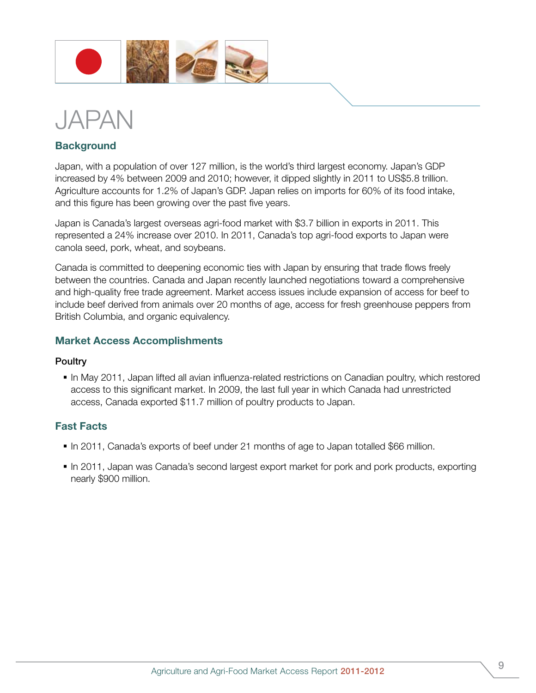



# **Background**

Japan, with a population of over 127 million, is the world's third largest economy. Japan's GDP increased by 4% between 2009 and 2010; however, it dipped slightly in 2011 to US\$5.8 trillion. Agriculture accounts for 1.2% of Japan's GDP. Japan relies on imports for 60% of its food intake, and this figure has been growing over the past five years.

Japan is Canada's largest overseas agri-food market with \$3.7 billion in exports in 2011. This represented a 24% increase over 2010. In 2011, Canada's top agri-food exports to Japan were canola seed, pork, wheat, and soybeans.

Canada is committed to deepening economic ties with Japan by ensuring that trade flows freely between the countries. Canada and Japan recently launched negotiations toward a comprehensive and high-quality free trade agreement. Market access issues include expansion of access for beef to include beef derived from animals over 20 months of age, access for fresh greenhouse peppers from British Columbia, and organic equivalency.

## Market Access Accomplishments

### **Poultry**

 In May 2011, Japan lifted all avian influenza-related restrictions on Canadian poultry, which restored access to this significant market. In 2009, the last full year in which Canada had unrestricted access, Canada exported \$11.7 million of poultry products to Japan.

- In 2011, Canada's exports of beef under 21 months of age to Japan totalled \$66 million.
- In 2011, Japan was Canada's second largest export market for pork and pork products, exporting nearly \$900 million.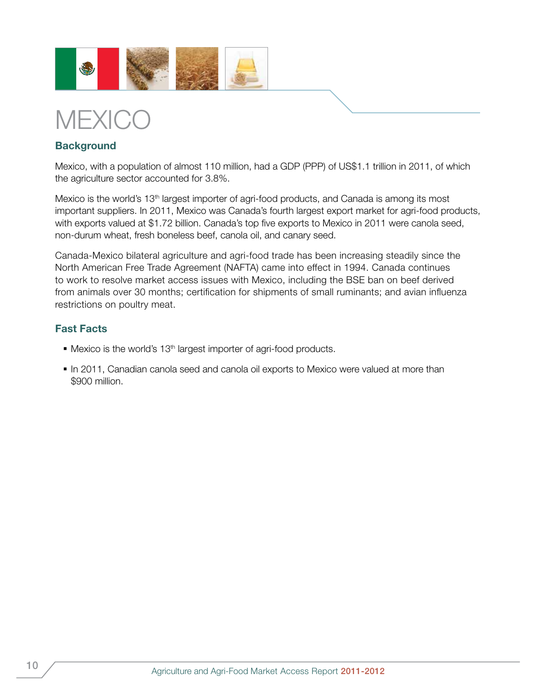

# MEXICC

# **Background**

Mexico, with a population of almost 110 million, had a GDP (PPP) of US\$1.1 trillion in 2011, of which the agriculture sector accounted for 3.8%.

Mexico is the world's 13<sup>th</sup> largest importer of agri-food products, and Canada is among its most important suppliers. In 2011, Mexico was Canada's fourth largest export market for agri-food products, with exports valued at \$1.72 billion. Canada's top five exports to Mexico in 2011 were canola seed, non-durum wheat, fresh boneless beef, canola oil, and canary seed.

Canada-Mexico bilateral agriculture and agri-food trade has been increasing steadily since the North American Free Trade Agreement (NAFTA) came into effect in 1994. Canada continues to work to resolve market access issues with Mexico, including the BSE ban on beef derived from animals over 30 months; certification for shipments of small ruminants; and avian influenza restrictions on poultry meat.

- $\blacksquare$  Mexico is the world's 13<sup>th</sup> largest importer of agri-food products.
- In 2011, Canadian canola seed and canola oil exports to Mexico were valued at more than \$900 million.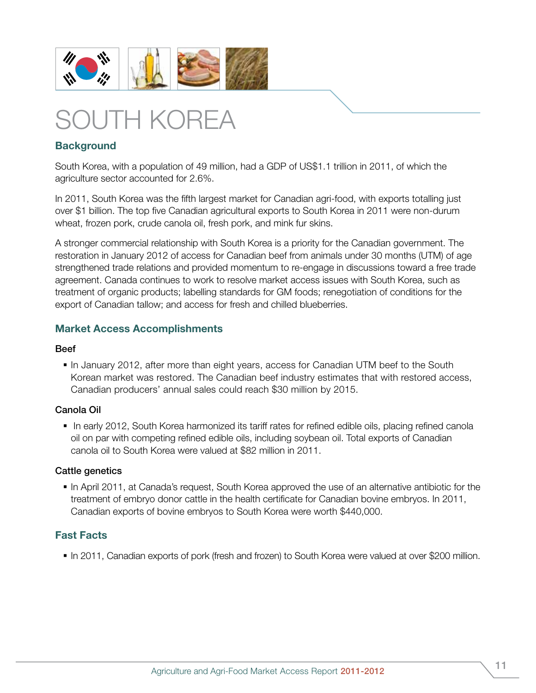

# **JUTH KOREA**

# **Background**

South Korea, with a population of 49 million, had a GDP of US\$1.1 trillion in 2011, of which the agriculture sector accounted for 2.6%.

In 2011, South Korea was the fifth largest market for Canadian agri-food, with exports totalling just over \$1 billion. The top five Canadian agricultural exports to South Korea in 2011 were non-durum wheat, frozen pork, crude canola oil, fresh pork, and mink fur skins.

A stronger commercial relationship with South Korea is a priority for the Canadian government. The restoration in January 2012 of access for Canadian beef from animals under 30 months (UTM) of age strengthened trade relations and provided momentum to re-engage in discussions toward a free trade agreement. Canada continues to work to resolve market access issues with South Korea, such as treatment of organic products; labelling standards for GM foods; renegotiation of conditions for the export of Canadian tallow; and access for fresh and chilled blueberries.

# Market Access Accomplishments

### Beef

In January 2012, after more than eight years, access for Canadian UTM beef to the South Korean market was restored. The Canadian beef industry estimates that with restored access, Canadian producers' annual sales could reach \$30 million by 2015.

### Canola Oil

In early 2012, South Korea harmonized its tariff rates for refined edible oils, placing refined canola oil on par with competing refined edible oils, including soybean oil. Total exports of Canadian canola oil to South Korea were valued at \$82 million in 2011.

### Cattle genetics

 In April 2011, at Canada's request, South Korea approved the use of an alternative antibiotic for the treatment of embryo donor cattle in the health certificate for Canadian bovine embryos. In 2011, Canadian exports of bovine embryos to South Korea were worth \$440,000.

# Fast Facts

In 2011, Canadian exports of pork (fresh and frozen) to South Korea were valued at over \$200 million.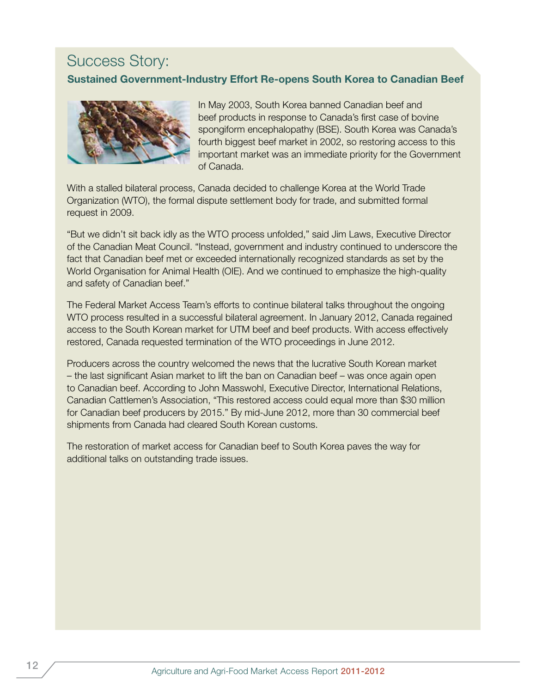# Success Story: Sustained Government-Industry Effort Re-opens South Korea to Canadian Beef



In May 2003, South Korea banned Canadian beef and beef products in response to Canada's first case of bovine spongiform encephalopathy (BSE). South Korea was Canada's fourth biggest beef market in 2002, so restoring access to this important market was an immediate priority for the Government of Canada.

With a stalled bilateral process, Canada decided to challenge Korea at the World Trade Organization (WTO), the formal dispute settlement body for trade, and submitted formal request in 2009.

"But we didn't sit back idly as the WTO process unfolded," said Jim Laws, Executive Director of the Canadian Meat Council. "Instead, government and industry continued to underscore the fact that Canadian beef met or exceeded internationally recognized standards as set by the World Organisation for Animal Health (OIE). And we continued to emphasize the high-quality and safety of Canadian beef."

The Federal Market Access Team's efforts to continue bilateral talks throughout the ongoing WTO process resulted in a successful bilateral agreement. In January 2012, Canada regained access to the South Korean market for UTM beef and beef products. With access effectively restored, Canada requested termination of the WTO proceedings in June 2012.

Producers across the country welcomed the news that the lucrative South Korean market – the last significant Asian market to lift the ban on Canadian beef – was once again open to Canadian beef. According to John Masswohl, Executive Director, International Relations, Canadian Cattlemen's Association, "This restored access could equal more than \$30 million for Canadian beef producers by 2015." By mid-June 2012, more than 30 commercial beef shipments from Canada had cleared South Korean customs.

The restoration of market access for Canadian beef to South Korea paves the way for additional talks on outstanding trade issues.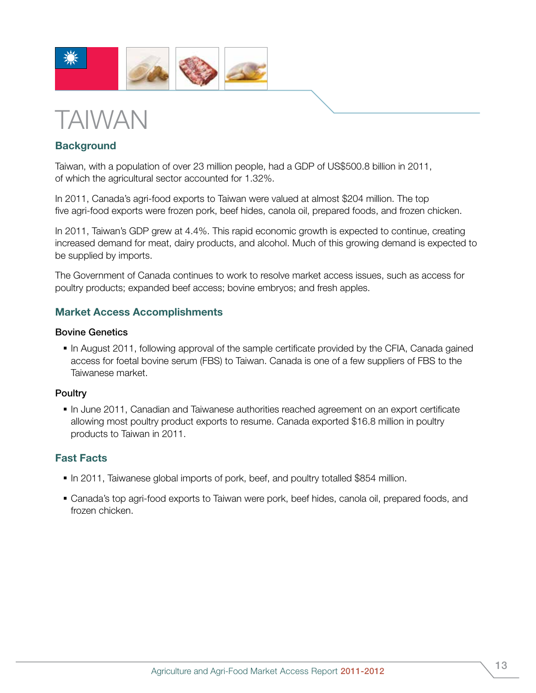



# **Background**

Taiwan, with a population of over 23 million people, had a GDP of US\$500.8 billion in 2011, of which the agricultural sector accounted for 1.32%.

In 2011, Canada's agri-food exports to Taiwan were valued at almost \$204 million. The top five agri-food exports were frozen pork, beef hides, canola oil, prepared foods, and frozen chicken.

In 2011, Taiwan's GDP grew at 4.4%. This rapid economic growth is expected to continue, creating increased demand for meat, dairy products, and alcohol. Much of this growing demand is expected to be supplied by imports.

The Government of Canada continues to work to resolve market access issues, such as access for poultry products; expanded beef access; bovine embryos; and fresh apples.

# Market Access Accomplishments

### Bovine Genetics

 In August 2011, following approval of the sample certificate provided by the CFIA, Canada gained access for foetal bovine serum (FBS) to Taiwan. Canada is one of a few suppliers of FBS to the Taiwanese market.

### **Poultry**

 In June 2011, Canadian and Taiwanese authorities reached agreement on an export certificate allowing most poultry product exports to resume. Canada exported \$16.8 million in poultry products to Taiwan in 2011.

- In 2011, Taiwanese global imports of pork, beef, and poultry totalled \$854 million.
- Canada's top agri-food exports to Taiwan were pork, beef hides, canola oil, prepared foods, and frozen chicken.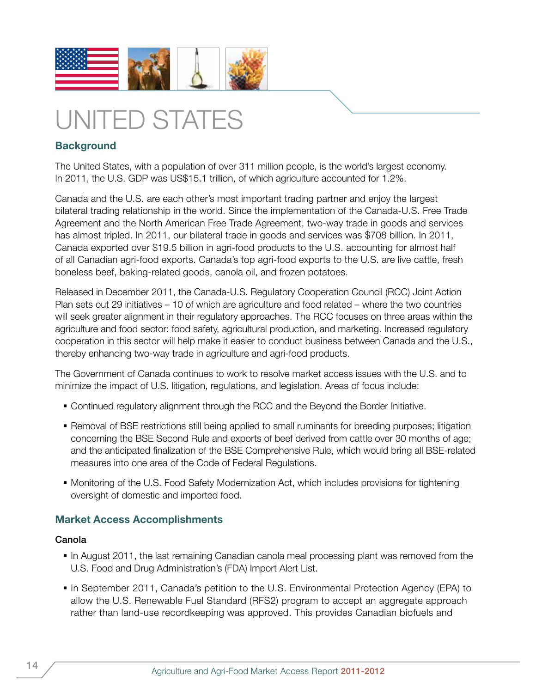

# UNITED STATES

# **Background**

The United States, with a population of over 311 million people, is the world's largest economy. In 2011, the U.S. GDP was US\$15.1 trillion, of which agriculture accounted for 1.2%.

Canada and the U.S. are each other's most important trading partner and enjoy the largest bilateral trading relationship in the world. Since the implementation of the Canada-U.S. Free Trade Agreement and the North American Free Trade Agreement, two-way trade in goods and services has almost tripled. In 2011, our bilateral trade in goods and services was \$708 billion. In 2011, Canada exported over \$19.5 billion in agri-food products to the U.S. accounting for almost half of all Canadian agri-food exports. Canada's top agri-food exports to the U.S. are live cattle, fresh boneless beef, baking-related goods, canola oil, and frozen potatoes.

Released in December 2011, the Canada-U.S. Regulatory Cooperation Council (RCC) Joint Action Plan sets out 29 initiatives – 10 of which are agriculture and food related – where the two countries will seek greater alignment in their regulatory approaches. The RCC focuses on three areas within the agriculture and food sector: food safety, agricultural production, and marketing. Increased regulatory cooperation in this sector will help make it easier to conduct business between Canada and the U.S., thereby enhancing two-way trade in agriculture and agri-food products.

The Government of Canada continues to work to resolve market access issues with the U.S. and to minimize the impact of U.S. litigation, regulations, and legislation. Areas of focus include:

- Continued regulatory alignment through the RCC and the Beyond the Border Initiative.
- **-** Removal of BSE restrictions still being applied to small ruminants for breeding purposes; litigation concerning the BSE Second Rule and exports of beef derived from cattle over 30 months of age; and the anticipated finalization of the BSE Comprehensive Rule, which would bring all BSE-related measures into one area of the Code of Federal Regulations.
- **Monitoring of the U.S. Food Safety Modernization Act, which includes provisions for tightening** oversight of domestic and imported food.

# Market Access Accomplishments

### **Canola**

- In August 2011, the last remaining Canadian canola meal processing plant was removed from the U.S. Food and Drug Administration's (FDA) Import Alert List.
- In September 2011, Canada's petition to the U.S. Environmental Protection Agency (EPA) to allow the U.S. Renewable Fuel Standard (RFS2) program to accept an aggregate approach rather than land-use recordkeeping was approved. This provides Canadian biofuels and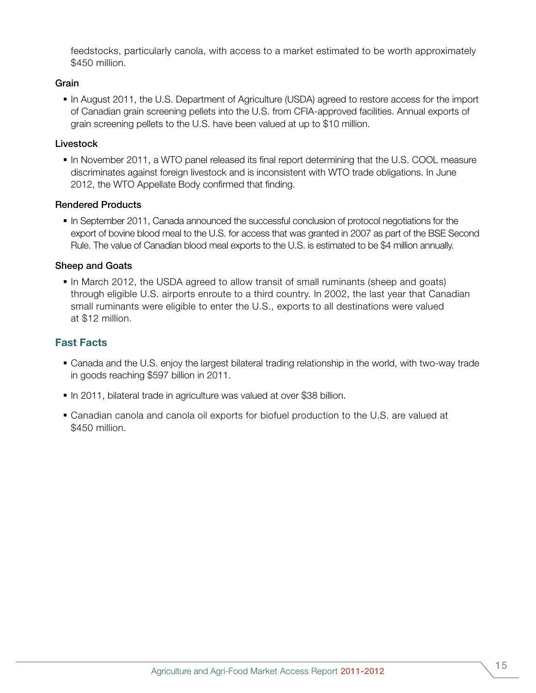feedstocks, particularly canola, with access to a market estimated to be worth approximately \$450 million.

## **Grain**

 In August 2011, the U.S. Department of Agriculture (USDA) agreed to restore access for the import of Canadian grain screening pellets into the U.S. from CFIA-approved facilities. Annual exports of grain screening pellets to the U.S. have been valued at up to \$10 million.

## Livestock

• In November 2011, a WTO panel released its final report determining that the U.S. COOL measure discriminates against foreign livestock and is inconsistent with WTO trade obligations. In June 2012, the WTO Appellate Body confirmed that finding.

## Rendered Products

In September 2011, Canada announced the successful conclusion of protocol negotiations for the export of bovine blood meal to the U.S. for access that was granted in 2007 as part of the BSE Second Rule. The value of Canadian blood meal exports to the U.S. is estimated to be \$4 million annually.

### Sheep and Goats

In March 2012, the USDA agreed to allow transit of small ruminants (sheep and goats) through eligible U.S. airports enroute to a third country. In 2002, the last year that Canadian small ruminants were eligible to enter the U.S., exports to all destinations were valued at \$12 million.

- Canada and the U.S. enjoy the largest bilateral trading relationship in the world, with two-way trade in goods reaching \$597 billion in 2011.
- **In 2011, bilateral trade in agriculture was valued at over \$38 billion.**
- Canadian canola and canola oil exports for biofuel production to the U.S. are valued at \$450 million.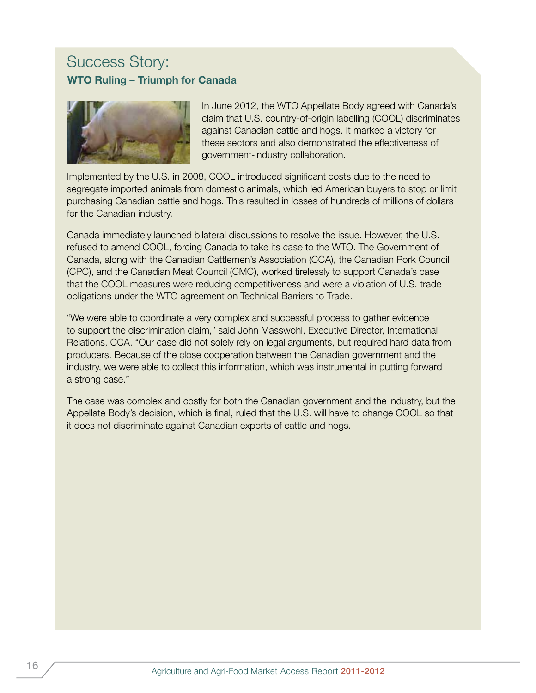# Success Story: WTO Ruling – Triumph for Canada



In June 2012, the WTO Appellate Body agreed with Canada's claim that U.S. country-of-origin labelling (COOL) discriminates against Canadian cattle and hogs. It marked a victory for these sectors and also demonstrated the effectiveness of government-industry collaboration.

Implemented by the U.S. in 2008, COOL introduced significant costs due to the need to segregate imported animals from domestic animals, which led American buyers to stop or limit purchasing Canadian cattle and hogs. This resulted in losses of hundreds of millions of dollars for the Canadian industry.

Canada immediately launched bilateral discussions to resolve the issue. However, the U.S. refused to amend COOL, forcing Canada to take its case to the WTO. The Government of Canada, along with the Canadian Cattlemen's Association (CCA), the Canadian Pork Council (CPC), and the Canadian Meat Council (CMC), worked tirelessly to support Canada's case that the COOL measures were reducing competitiveness and were a violation of U.S. trade obligations under the WTO agreement on Technical Barriers to Trade.

"We were able to coordinate a very complex and successful process to gather evidence to support the discrimination claim," said John Masswohl, Executive Director, International Relations, CCA. "Our case did not solely rely on legal arguments, but required hard data from producers. Because of the close cooperation between the Canadian government and the industry, we were able to collect this information, which was instrumental in putting forward a strong case."

The case was complex and costly for both the Canadian government and the industry, but the Appellate Body's decision, which is final, ruled that the U.S. will have to change COOL so that it does not discriminate against Canadian exports of cattle and hogs.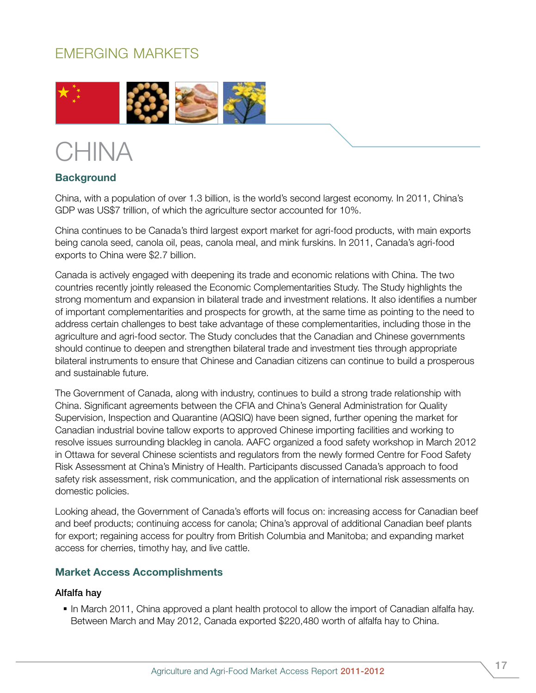# EMERGING MARKETS



# **CHINA**

# **Background**

China, with a population of over 1.3 billion, is the world's second largest economy. In 2011, China's GDP was US\$7 trillion, of which the agriculture sector accounted for 10%.

China continues to be Canada's third largest export market for agri-food products, with main exports being canola seed, canola oil, peas, canola meal, and mink furskins. In 2011, Canada's agri-food exports to China were \$2.7 billion.

Canada is actively engaged with deepening its trade and economic relations with China. The two countries recently jointly released the Economic Complementarities Study. The Study highlights the strong momentum and expansion in bilateral trade and investment relations. It also identifies a number of important complementarities and prospects for growth, at the same time as pointing to the need to address certain challenges to best take advantage of these complementarities, including those in the agriculture and agri-food sector. The Study concludes that the Canadian and Chinese governments should continue to deepen and strengthen bilateral trade and investment ties through appropriate bilateral instruments to ensure that Chinese and Canadian citizens can continue to build a prosperous and sustainable future.

The Government of Canada, along with industry, continues to build a strong trade relationship with China. Significant agreements between the CFIA and China's General Administration for Quality Supervision, Inspection and Quarantine (AQSIQ) have been signed, further opening the market for Canadian industrial bovine tallow exports to approved Chinese importing facilities and working to resolve issues surrounding blackleg in canola. AAFC organized a food safety workshop in March 2012 in Ottawa for several Chinese scientists and regulators from the newly formed Centre for Food Safety Risk Assessment at China's Ministry of Health. Participants discussed Canada's approach to food safety risk assessment, risk communication, and the application of international risk assessments on domestic policies.

Looking ahead, the Government of Canada's efforts will focus on: increasing access for Canadian beef and beef products; continuing access for canola; China's approval of additional Canadian beef plants for export; regaining access for poultry from British Columbia and Manitoba; and expanding market access for cherries, timothy hay, and live cattle.

# Market Access Accomplishments

### Alfalfa hay

In March 2011, China approved a plant health protocol to allow the import of Canadian alfalfa hay. Between March and May 2012, Canada exported \$220,480 worth of alfalfa hay to China.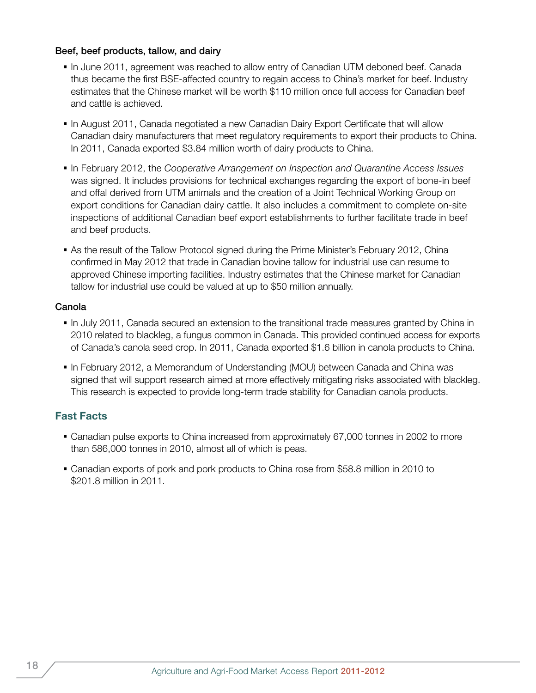### Beef, beef products, tallow, and dairy

- In June 2011, agreement was reached to allow entry of Canadian UTM deboned beef. Canada thus became the first BSE-affected country to regain access to China's market for beef. Industry estimates that the Chinese market will be worth \$110 million once full access for Canadian beef and cattle is achieved.
- In August 2011, Canada negotiated a new Canadian Dairy Export Certificate that will allow Canadian dairy manufacturers that meet regulatory requirements to export their products to China. In 2011, Canada exported \$3.84 million worth of dairy products to China.
- In February 2012, the *Cooperative Arrangement on Inspection and Quarantine Access Issues* was signed. It includes provisions for technical exchanges regarding the export of bone-in beef and offal derived from UTM animals and the creation of a Joint Technical Working Group on export conditions for Canadian dairy cattle. It also includes a commitment to complete on-site inspections of additional Canadian beef export establishments to further facilitate trade in beef and beef products.
- As the result of the Tallow Protocol signed during the Prime Minister's February 2012, China confirmed in May 2012 that trade in Canadian bovine tallow for industrial use can resume to approved Chinese importing facilities. Industry estimates that the Chinese market for Canadian tallow for industrial use could be valued at up to \$50 million annually.

### Canola

- In July 2011, Canada secured an extension to the transitional trade measures granted by China in 2010 related to blackleg, a fungus common in Canada. This provided continued access for exports of Canada's canola seed crop. In 2011, Canada exported \$1.6 billion in canola products to China.
- In February 2012, a Memorandum of Understanding (MOU) between Canada and China was signed that will support research aimed at more effectively mitigating risks associated with blackleg. This research is expected to provide long-term trade stability for Canadian canola products.

- Canadian pulse exports to China increased from approximately 67,000 tonnes in 2002 to more than 586,000 tonnes in 2010, almost all of which is peas.
- Canadian exports of pork and pork products to China rose from \$58.8 million in 2010 to \$201.8 million in 2011.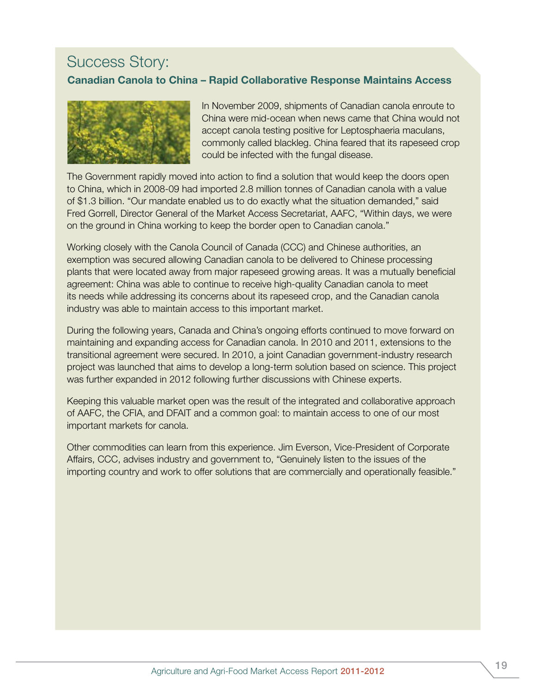# Success Story: Canadian Canola to China – Rapid Collaborative Response Maintains Access



In November 2009, shipments of Canadian canola enroute to China were mid-ocean when news came that China would not accept canola testing positive for Leptosphaeria maculans, commonly called blackleg. China feared that its rapeseed crop could be infected with the fungal disease.

The Government rapidly moved into action to find a solution that would keep the doors open to China, which in 2008-09 had imported 2.8 million tonnes of Canadian canola with a value of \$1.3 billion. "Our mandate enabled us to do exactly what the situation demanded," said Fred Gorrell, Director General of the Market Access Secretariat, AAFC, "Within days, we were on the ground in China working to keep the border open to Canadian canola."

Working closely with the Canola Council of Canada (CCC) and Chinese authorities, an exemption was secured allowing Canadian canola to be delivered to Chinese processing plants that were located away from major rapeseed growing areas. It was a mutually beneficial agreement: China was able to continue to receive high-quality Canadian canola to meet its needs while addressing its concerns about its rapeseed crop, and the Canadian canola industry was able to maintain access to this important market.

During the following years, Canada and China's ongoing efforts continued to move forward on maintaining and expanding access for Canadian canola. In 2010 and 2011, extensions to the transitional agreement were secured. In 2010, a joint Canadian government-industry research project was launched that aims to develop a long-term solution based on science. This project was further expanded in 2012 following further discussions with Chinese experts.

Keeping this valuable market open was the result of the integrated and collaborative approach of AAFC, the CFIA, and DFAIT and a common goal: to maintain access to one of our most important markets for canola.

Other commodities can learn from this experience. Jim Everson, Vice-President of Corporate Affairs, CCC, advises industry and government to, "Genuinely listen to the issues of the importing country and work to offer solutions that are commercially and operationally feasible."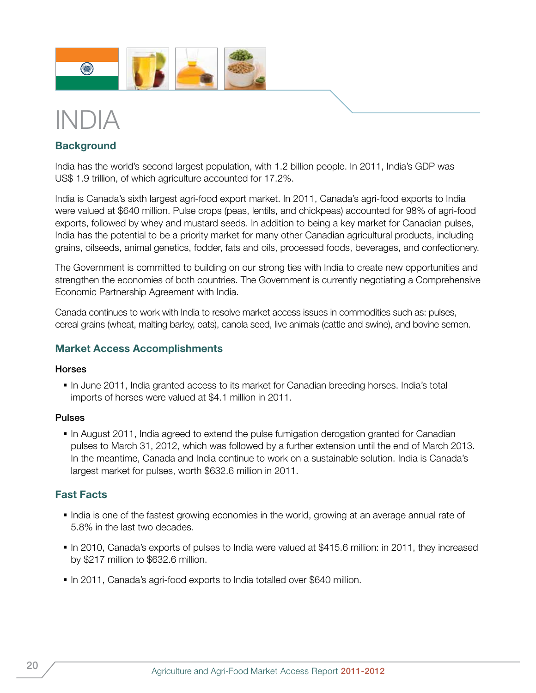

# INDIA

# **Background**

India has the world's second largest population, with 1.2 billion people. In 2011, India's GDP was US\$ 1.9 trillion, of which agriculture accounted for 17.2%.

India is Canada's sixth largest agri-food export market. In 2011, Canada's agri-food exports to India were valued at \$640 million. Pulse crops (peas, lentils, and chickpeas) accounted for 98% of agri-food exports, followed by whey and mustard seeds. In addition to being a key market for Canadian pulses, India has the potential to be a priority market for many other Canadian agricultural products, including grains, oilseeds, animal genetics, fodder, fats and oils, processed foods, beverages, and confectionery.

The Government is committed to building on our strong ties with India to create new opportunities and strengthen the economies of both countries. The Government is currently negotiating a Comprehensive Economic Partnership Agreement with India.

Canada continues to work with India to resolve market access issues in commodities such as: pulses, cereal grains (wheat, malting barley, oats), canola seed, live animals (cattle and swine), and bovine semen.

# Market Access Accomplishments

### Horses

In June 2011, India granted access to its market for Canadian breeding horses. India's total imports of horses were valued at \$4.1 million in 2011.

### Pulses

 In August 2011, India agreed to extend the pulse fumigation derogation granted for Canadian pulses to March 31, 2012, which was followed by a further extension until the end of March 2013. In the meantime, Canada and India continue to work on a sustainable solution. India is Canada's largest market for pulses, worth \$632.6 million in 2011.

- India is one of the fastest growing economies in the world, growing at an average annual rate of 5.8% in the last two decades.
- In 2010, Canada's exports of pulses to India were valued at \$415.6 million: in 2011, they increased by \$217 million to \$632.6 million.
- In 2011, Canada's agri-food exports to India totalled over \$640 million.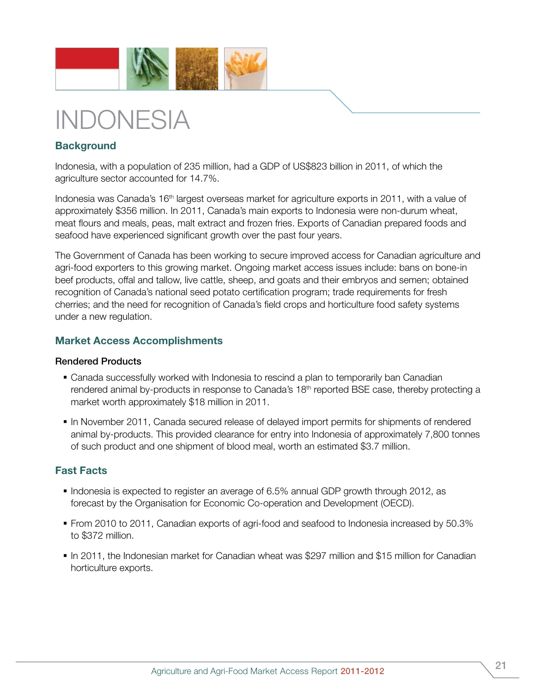

# INDONESIA

# **Background**

Indonesia, with a population of 235 million, had a GDP of US\$823 billion in 2011, of which the agriculture sector accounted for 14.7%.

Indonesia was Canada's 16<sup>th</sup> largest overseas market for agriculture exports in 2011, with a value of approximately \$356 million. In 2011, Canada's main exports to Indonesia were non-durum wheat, meat flours and meals, peas, malt extract and frozen fries. Exports of Canadian prepared foods and seafood have experienced significant growth over the past four years.

The Government of Canada has been working to secure improved access for Canadian agriculture and agri-food exporters to this growing market. Ongoing market access issues include: bans on bone-in beef products, offal and tallow, live cattle, sheep, and goats and their embryos and semen; obtained recognition of Canada's national seed potato certification program; trade requirements for fresh cherries; and the need for recognition of Canada's field crops and horticulture food safety systems under a new regulation.

# Market Access Accomplishments

### Rendered Products

- Canada successfully worked with Indonesia to rescind a plan to temporarily ban Canadian rendered animal by-products in response to Canada's 18<sup>th</sup> reported BSE case, thereby protecting a market worth approximately \$18 million in 2011.
- In November 2011, Canada secured release of delayed import permits for shipments of rendered animal by-products. This provided clearance for entry into Indonesia of approximately 7,800 tonnes of such product and one shipment of blood meal, worth an estimated \$3.7 million.

- Indonesia is expected to register an average of 6.5% annual GDP growth through 2012, as forecast by the Organisation for Economic Co-operation and Development (OECD).
- From 2010 to 2011, Canadian exports of agri-food and seafood to Indonesia increased by 50.3% to \$372 million.
- In 2011, the Indonesian market for Canadian wheat was \$297 million and \$15 million for Canadian horticulture exports.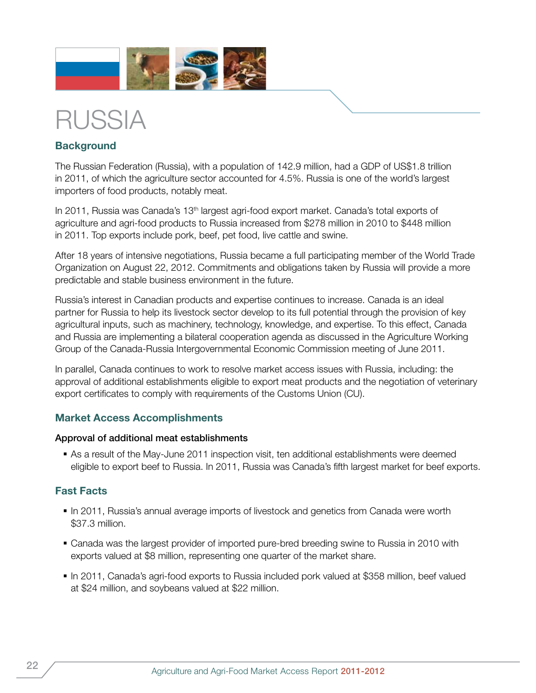

# RUSSIA

# **Background**

The Russian Federation (Russia), with a population of 142.9 million, had a GDP of US\$1.8 trillion in 2011, of which the agriculture sector accounted for 4.5%. Russia is one of the world's largest importers of food products, notably meat.

In 2011, Russia was Canada's 13<sup>th</sup> largest agri-food export market. Canada's total exports of agriculture and agri-food products to Russia increased from \$278 million in 2010 to \$448 million in 2011. Top exports include pork, beef, pet food, live cattle and swine.

After 18 years of intensive negotiations, Russia became a full participating member of the World Trade Organization on August 22, 2012. Commitments and obligations taken by Russia will provide a more predictable and stable business environment in the future.

Russia's interest in Canadian products and expertise continues to increase. Canada is an ideal partner for Russia to help its livestock sector develop to its full potential through the provision of key agricultural inputs, such as machinery, technology, knowledge, and expertise. To this effect, Canada and Russia are implementing a bilateral cooperation agenda as discussed in the Agriculture Working Group of the Canada-Russia Intergovernmental Economic Commission meeting of June 2011.

In parallel, Canada continues to work to resolve market access issues with Russia, including: the approval of additional establishments eligible to export meat products and the negotiation of veterinary export certificates to comply with requirements of the Customs Union (CU).

# Market Access Accomplishments

### Approval of additional meat establishments

 As a result of the May-June 2011 inspection visit, ten additional establishments were deemed eligible to export beef to Russia. In 2011, Russia was Canada's fifth largest market for beef exports.

- In 2011, Russia's annual average imports of livestock and genetics from Canada were worth \$37.3 million.
- Canada was the largest provider of imported pure-bred breeding swine to Russia in 2010 with exports valued at \$8 million, representing one quarter of the market share.
- In 2011, Canada's agri-food exports to Russia included pork valued at \$358 million, beef valued at \$24 million, and soybeans valued at \$22 million.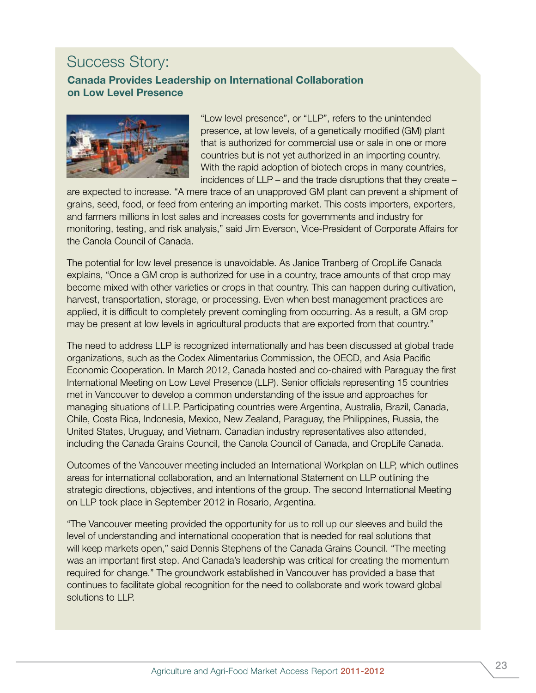# Success Story: Canada Provides Leadership on International Collaboration on Low Level Presence



"Low level presence", or "LLP", refers to the unintended presence, at low levels, of a genetically modified (GM) plant that is authorized for commercial use or sale in one or more countries but is not yet authorized in an importing country. With the rapid adoption of biotech crops in many countries, incidences of LLP – and the trade disruptions that they create –

are expected to increase. "A mere trace of an unapproved GM plant can prevent a shipment of grains, seed, food, or feed from entering an importing market. This costs importers, exporters, and farmers millions in lost sales and increases costs for governments and industry for monitoring, testing, and risk analysis," said Jim Everson, Vice-President of Corporate Affairs for the Canola Council of Canada.

The potential for low level presence is unavoidable. As Janice Tranberg of CropLife Canada explains, "Once a GM crop is authorized for use in a country, trace amounts of that crop may become mixed with other varieties or crops in that country. This can happen during cultivation, harvest, transportation, storage, or processing. Even when best management practices are applied, it is difficult to completely prevent comingling from occurring. As a result, a GM crop may be present at low levels in agricultural products that are exported from that country."

The need to address LLP is recognized internationally and has been discussed at global trade organizations, such as the Codex Alimentarius Commission, the OECD, and Asia Pacific Economic Cooperation. In March 2012, Canada hosted and co-chaired with Paraguay the first International Meeting on Low Level Presence (LLP). Senior officials representing 15 countries met in Vancouver to develop a common understanding of the issue and approaches for managing situations of LLP. Participating countries were Argentina, Australia, Brazil, Canada, Chile, Costa Rica, Indonesia, Mexico, New Zealand, Paraguay, the Philippines, Russia, the United States, Uruguay, and Vietnam. Canadian industry representatives also attended, including the Canada Grains Council, the Canola Council of Canada, and CropLife Canada.

Outcomes of the Vancouver meeting included an International Workplan on LLP, which outlines areas for international collaboration, and an International Statement on LLP outlining the strategic directions, objectives, and intentions of the group. The second International Meeting on LLP took place in September 2012 in Rosario, Argentina.

"The Vancouver meeting provided the opportunity for us to roll up our sleeves and build the level of understanding and international cooperation that is needed for real solutions that will keep markets open," said Dennis Stephens of the Canada Grains Council. "The meeting was an important first step. And Canada's leadership was critical for creating the momentum required for change." The groundwork established in Vancouver has provided a base that continues to facilitate global recognition for the need to collaborate and work toward global solutions to LLP.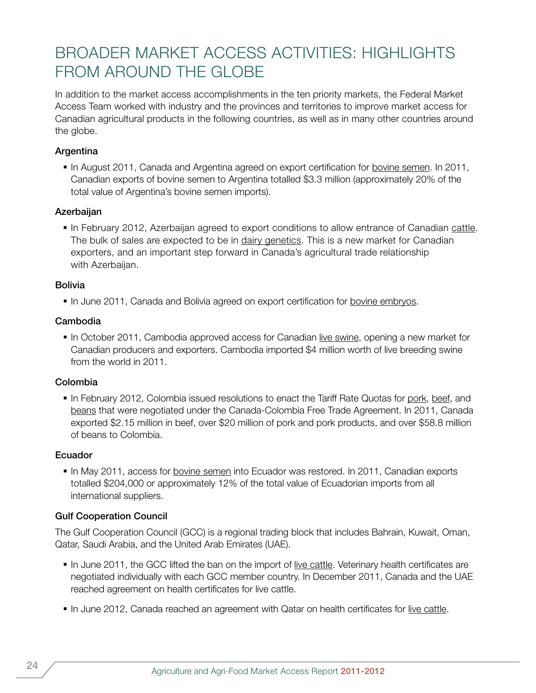# BROADER MARKET ACCESS ACTIVITIES: HIGHLIGHTS FROM AROUND THE GLOBE

In addition to the market access accomplishments in the ten priority markets, the Federal Market Access Team worked with industry and the provinces and territories to improve market access for Canadian agricultural products in the following countries, as well as in many other countries around the globe.

## Argentina

In August 2011, Canada and Argentina agreed on export certification for bovine semen. In 2011, Canadian exports of bovine semen to Argentina totalled \$3.3 million (approximately 20% of the total value of Argentina's bovine semen imports).

## Azerbaijan

In February 2012, Azerbaijan agreed to export conditions to allow entrance of Canadian cattle. The bulk of sales are expected to be in dairy genetics. This is a new market for Canadian exporters, and an important step forward in Canada's agricultural trade relationship with Azerbaijan.

### Bolivia

In June 2011, Canada and Bolivia agreed on export certification for bovine embryos.

### Cambodia

In October 2011, Cambodia approved access for Canadian live swine, opening a new market for Canadian producers and exporters. Cambodia imported \$4 million worth of live breeding swine from the world in 2011.

### Colombia

 In February 2012, Colombia issued resolutions to enact the Tariff Rate Quotas for pork, beef, and beans that were negotiated under the Canada-Colombia Free Trade Agreement. In 2011, Canada exported \$2.15 million in beef, over \$20 million of pork and pork products, and over \$58.8 million of beans to Colombia.

### Ecuador

In May 2011, access for bovine semen into Ecuador was restored. In 2011, Canadian exports totalled \$204,000 or approximately 12% of the total value of Ecuadorian imports from all international suppliers.

### Gulf Cooperation Council

The Gulf Cooperation Council (GCC) is a regional trading block that includes Bahrain, Kuwait, Oman, Qatar, Saudi Arabia, and the United Arab Emirates (UAE).

- In June 2011, the GCC lifted the ban on the import of live cattle. Veterinary health certificates are negotiated individually with each GCC member country. In December 2011, Canada and the UAE reached agreement on health certificates for live cattle.
- In June 2012, Canada reached an agreement with Qatar on health certificates for live cattle.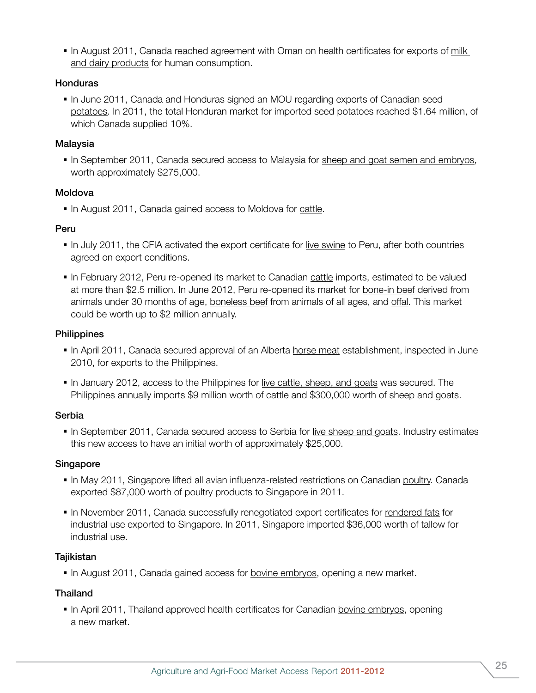In August 2011, Canada reached agreement with Oman on health certificates for exports of milk and dairy products for human consumption.

## **Honduras**

 In June 2011, Canada and Honduras signed an MOU regarding exports of Canadian seed potatoes. In 2011, the total Honduran market for imported seed potatoes reached \$1.64 million, of which Canada supplied 10%.

# Malaysia

In September 2011, Canada secured access to Malaysia for sheep and goat semen and embryos, worth approximately \$275,000.

# Moldova

In August 2011, Canada gained access to Moldova for cattle.

# Peru

- In July 2011, the CFIA activated the export certificate for live swine to Peru, after both countries agreed on export conditions.
- In February 2012, Peru re-opened its market to Canadian cattle imports, estimated to be valued at more than \$2.5 million. In June 2012, Peru re-opened its market for bone-in beef derived from animals under 30 months of age, boneless beef from animals of all ages, and offal. This market could be worth up to \$2 million annually.

# **Philippines**

- In April 2011, Canada secured approval of an Alberta horse meat establishment, inspected in June 2010, for exports to the Philippines.
- In January 2012, access to the Philippines for live cattle, sheep, and goats was secured. The Philippines annually imports \$9 million worth of cattle and \$300,000 worth of sheep and goats.

# **Serbia**

In September 2011, Canada secured access to Serbia for <u>live sheep and goats</u>. Industry estimates this new access to have an initial worth of approximately \$25,000.

# Singapore

- In May 2011, Singapore lifted all avian influenza-related restrictions on Canadian poultry. Canada exported \$87,000 worth of poultry products to Singapore in 2011.
- In November 2011, Canada successfully renegotiated export certificates for rendered fats for industrial use exported to Singapore. In 2011, Singapore imported \$36,000 worth of tallow for industrial use.

# **Tajikistan**

In August 2011, Canada gained access for bovine embryos, opening a new market.

# **Thailand**

• In April 2011, Thailand approved health certificates for Canadian bovine embryos, opening a new market.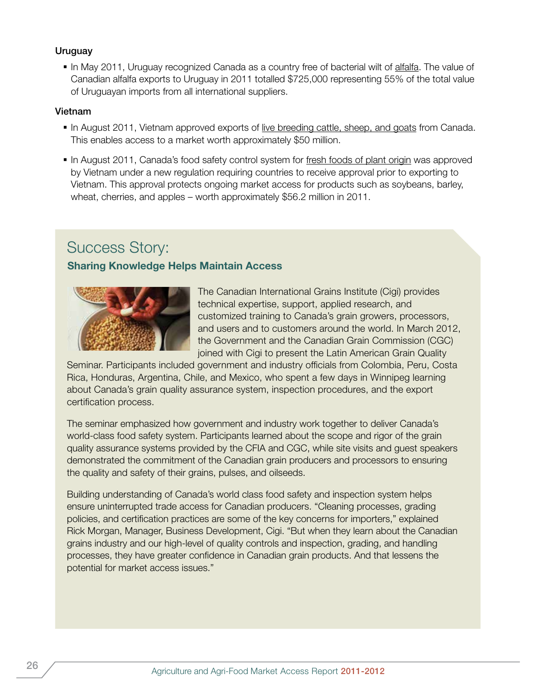## **Uruguay**

In May 2011, Uruguay recognized Canada as a country free of bacterial wilt of alfalfa. The value of Canadian alfalfa exports to Uruguay in 2011 totalled \$725,000 representing 55% of the total value of Uruguayan imports from all international suppliers.

#### Vietnam

- In August 2011, Vietnam approved exports of live breeding cattle, sheep, and goats from Canada. This enables access to a market worth approximately \$50 million.
- In August 2011, Canada's food safety control system for fresh foods of plant origin was approved by Vietnam under a new regulation requiring countries to receive approval prior to exporting to Vietnam. This approval protects ongoing market access for products such as soybeans, barley, wheat, cherries, and apples – worth approximately \$56.2 million in 2011.

# Success Story:

# Sharing Knowledge Helps Maintain Access



The Canadian International Grains Institute (Cigi) provides technical expertise, support, applied research, and customized training to Canada's grain growers, processors, and users and to customers around the world. In March 2012, the Government and the Canadian Grain Commission (CGC) joined with Cigi to present the Latin American Grain Quality

Seminar. Participants included government and industry officials from Colombia, Peru, Costa Rica, Honduras, Argentina, Chile, and Mexico, who spent a few days in Winnipeg learning about Canada's grain quality assurance system, inspection procedures, and the export certification process.

The seminar emphasized how government and industry work together to deliver Canada's world-class food safety system. Participants learned about the scope and rigor of the grain quality assurance systems provided by the CFIA and CGC, while site visits and guest speakers demonstrated the commitment of the Canadian grain producers and processors to ensuring the quality and safety of their grains, pulses, and oilseeds.

Building understanding of Canada's world class food safety and inspection system helps ensure uninterrupted trade access for Canadian producers. "Cleaning processes, grading policies, and certification practices are some of the key concerns for importers," explained Rick Morgan, Manager, Business Development, Cigi. "But when they learn about the Canadian grains industry and our high-level of quality controls and inspection, grading, and handling processes, they have greater confidence in Canadian grain products. And that lessens the potential for market access issues."